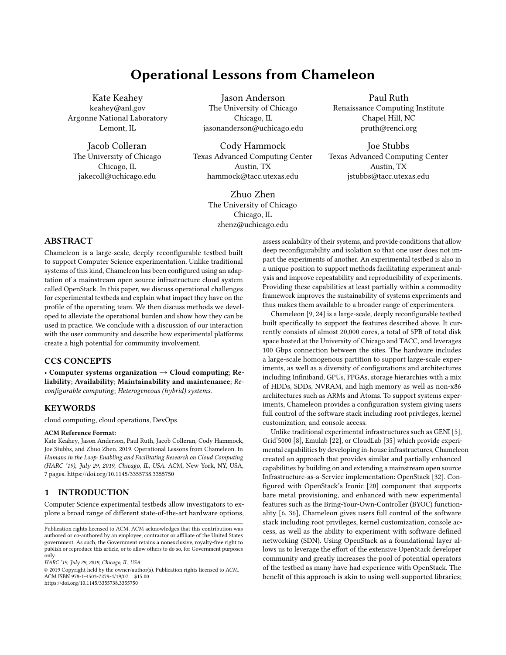# Operational Lessons from Chameleon

Kate Keahey keahey@anl.gov Argonne National Laboratory Lemont, IL

Jacob Colleran The University of Chicago Chicago, IL jakecoll@uchicago.edu

Jason Anderson The University of Chicago Chicago, IL jasonanderson@uchicago.edu

Cody Hammock Texas Advanced Computing Center Austin, TX hammock@tacc.utexas.edu

> Zhuo Zhen The University of Chicago Chicago, IL zhenz@uchicago.edu

# ABSTRACT

Chameleon is a large-scale, deeply reconfigurable testbed built to support Computer Science experimentation. Unlike traditional systems of this kind, Chameleon has been configured using an adaptation of a mainstream open source infrastructure cloud system called OpenStack. In this paper, we discuss operational challenges for experimental testbeds and explain what impact they have on the profile of the operating team. We then discuss methods we developed to alleviate the operational burden and show how they can be used in practice. We conclude with a discussion of our interaction with the user community and describe how experimental platforms create a high potential for community involvement.

## CCS CONCEPTS

• Computer systems organization  $\rightarrow$  Cloud computing; Reliability; Availability; Maintainability and maintenance; Reconfigurable computing; Heterogeneous (hybrid) systems.

#### **KEYWORDS**

cloud computing, cloud operations, DevOps

#### ACM Reference Format:

Kate Keahey, Jason Anderson, Paul Ruth, Jacob Colleran, Cody Hammock, Joe Stubbs, and Zhuo Zhen. 2019. Operational Lessons from Chameleon. In Humans in the Loop: Enabling and Facilitating Research on Cloud Computing (HARC '19), July 29, 2019, Chicago, IL, USA. ACM, New York, NY, USA, [7](#page-6-0) pages.<https://doi.org/10.1145/3355738.3355750>

## 1 INTRODUCTION

Computer Science experimental testbeds allow investigators to explore a broad range of different state-of-the-art hardware options,

HARC '19, July 29, 2019, Chicago, IL, USA

© 2019 Copyright held by the owner/author(s). Publication rights licensed to ACM. ACM ISBN 978-1-4503-7279-4/19/07...\$15.00 <https://doi.org/10.1145/3355738.3355750>

assess scalability of their systems, and provide conditions that allow deep reconfigurability and isolation so that one user does not impact the experiments of another. An experimental testbed is also in a unique position to support methods facilitating experiment analysis and improve repeatability and reproducibility of experiments. Providing these capabilities at least partially within a commodity framework improves the sustainability of systems experiments and thus makes them available to a broader range of experimenters.

Chameleon [\[9,](#page-6-1) [24\]](#page-6-2) is a large-scale, deeply reconfigurable testbed built specifically to support the features described above. It currently consists of almost 20,000 cores, a total of 5PB of total disk space hosted at the University of Chicago and TACC, and leverages 100 Gbps connection between the sites. The hardware includes a large-scale homogenous partition to support large-scale experiments, as well as a diversity of configurations and architectures including Infiniband, GPUs, FPGAs, storage hierarchies with a mix of HDDs, SDDs, NVRAM, and high memory as well as non-x86 architectures such as ARMs and Atoms. To support systems experiments, Chameleon provides a configuration system giving users full control of the software stack including root privileges, kernel customization, and console access.

Unlike traditional experimental infrastructures such as GENI [\[5\]](#page-5-0), Grid'5000 [\[8\]](#page-6-3), Emulab [\[22\]](#page-6-4), or CloudLab [\[35\]](#page-6-5) which provide experimental capabilities by developing in-house infrastructures, Chameleon created an approach that provides similar and partially enhanced capabilities by building on and extending a mainstream open source Infrastructure-as-a-Service implementation: OpenStack [\[32\]](#page-6-6). Configured with OpenStack's Ironic [\[20\]](#page-6-7) component that supports bare metal provisioning, and enhanced with new experimental features such as the Bring-Your-Own-Controller (BYOC) functionality [\[6,](#page-6-8) [36\]](#page-6-9), Chameleon gives users full control of the software stack including root privileges, kernel customization, console access, as well as the ability to experiment with software defined networking (SDN). Using OpenStack as a foundational layer allows us to leverage the effort of the extensive OpenStack developer community and greatly increases the pool of potential operators of the testbed as many have had experience with OpenStack. The benefit of this approach is akin to using well-supported libraries;

Paul Ruth Renaissance Computing Institute Chapel Hill, NC pruth@renci.org

Joe Stubbs Texas Advanced Computing Center Austin, TX jstubbs@tacc.utexas.edu

Publication rights licensed to ACM. ACM acknowledges that this contribution was authored or co-authored by an employee, contractor or affiliate of the United States government. As such, the Government retains a nonexclusive, royalty-free right to publish or reproduce this article, or to allow others to do so, for Government purposes only.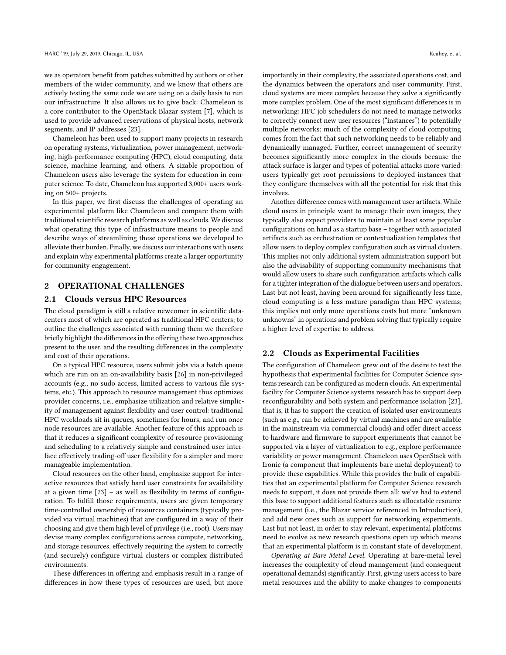we as operators benefit from patches submitted by authors or other members of the wider community, and we know that others are actively testing the same code we are using on a daily basis to run our infrastructure. It also allows us to give back: Chameleon is a core contributor to the OpenStack Blazar system [\[7\]](#page-6-10), which is used to provide advanced reservations of physical hosts, network segments, and IP addresses [\[23\]](#page-6-11).

Chameleon has been used to support many projects in research on operating systems, virtualization, power management, networking, high-performance computing (HPC), cloud computing, data science, machine learning, and others. A sizable proportion of Chameleon users also leverage the system for education in computer science. To date, Chameleon has supported 3,000+ users working on 500+ projects.

In this paper, we first discuss the challenges of operating an experimental platform like Chameleon and compare them with traditional scientific research platforms as well as clouds. We discuss what operating this type of infrastructure means to people and describe ways of streamlining these operations we developed to alleviate their burden. Finally, we discuss our interactions with users and explain why experimental platforms create a larger opportunity for community engagement.

# 2 OPERATIONAL CHALLENGES

## 2.1 Clouds versus HPC Resources

The cloud paradigm is still a relative newcomer in scientific datacenters most of which are operated as traditional HPC centers; to outline the challenges associated with running them we therefore briefly highlight the differences in the offering these two approaches present to the user, and the resulting differences in the complexity and cost of their operations.

On a typical HPC resource, users submit jobs via a batch queue which are run on an on-availability basis [\[26\]](#page-6-12) in non-privileged accounts (e.g., no sudo access, limited access to various file systems, etc.). This approach to resource management thus optimizes provider concerns, i.e., emphasize utilization and relative simplicity of management against flexibility and user control: traditional HPC workloads sit in queues, sometimes for hours, and run once node resources are available. Another feature of this approach is that it reduces a significant complexity of resource provisioning and scheduling to a relatively simple and constrained user interface effectively trading-off user flexibility for a simpler and more manageable implementation.

Cloud resources on the other hand, emphasize support for interactive resources that satisfy hard user constraints for availability at a given time [\[23\]](#page-6-11) – as well as flexibility in terms of configuration. To fulfill those requirements, users are given temporary time-controlled ownership of resources containers (typically provided via virtual machines) that are configured in a way of their choosing and give them high level of privilege (i.e., root). Users may devise many complex configurations across compute, networking, and storage resources, effectively requiring the system to correctly (and securely) configure virtual clusters or complex distributed environments.

These differences in offering and emphasis result in a range of differences in how these types of resources are used, but more

importantly in their complexity, the associated operations cost, and the dynamics between the operators and user community. First, cloud systems are more complex because they solve a significantly more complex problem. One of the most significant differences is in networking: HPC job schedulers do not need to manage networks to correctly connect new user resources ("instances") to potentially multiple networks; much of the complexity of cloud computing comes from the fact that such networking needs to be reliably and dynamically managed. Further, correct management of security becomes significantly more complex in the clouds because the attack surface is larger and types of potential attacks more varied: users typically get root permissions to deployed instances that they configure themselves with all the potential for risk that this involves.

Another difference comes with management user artifacts. While cloud users in principle want to manage their own images, they typically also expect providers to maintain at least some popular configurations on hand as a startup base – together with associated artifacts such as orchestration or contextualization templates that allow users to deploy complex configuration such as virtual clusters. This implies not only additional system administration support but also the advisability of supporting community mechanisms that would allow users to share such configuration artifacts which calls for a tighter integration of the dialogue between users and operators. Last but not least, having been around for significantly less time, cloud computing is a less mature paradigm than HPC systems; this implies not only more operations costs but more "unknown unknowns" in operations and problem solving that typically require a higher level of expertise to address.

#### 2.2 Clouds as Experimental Facilities

The configuration of Chameleon grew out of the desire to test the hypothesis that experimental facilities for Computer Science systems research can be configured as modern clouds. An experimental facility for Computer Science systems research has to support deep reconfigurability and both system and performance isolation [\[23\]](#page-6-11), that is, it has to support the creation of isolated user environments (such as e.g., can be achieved by virtual machines and are available in the mainstream via commercial clouds) and offer direct access to hardware and firmware to support experiments that cannot be supported via a layer of virtualization to e.g., explore performance variability or power management. Chameleon uses OpenStack with Ironic (a component that implements bare metal deployment) to provide these capabilities. While this provides the bulk of capabilities that an experimental platform for Computer Science research needs to support, it does not provide them all; we've had to extend this base to support additional features such as allocatable resource management (i.e., the Blazar service referenced in Introduction), and add new ones such as support for networking experiments. Last but not least, in order to stay relevant, experimental platforms need to evolve as new research questions open up which means that an experimental platform is in constant state of development.

Operating at Bare Metal Level. Operating at bare-metal level increases the complexity of cloud management (and consequent operational demands) significantly. First, giving users access to bare metal resources and the ability to make changes to components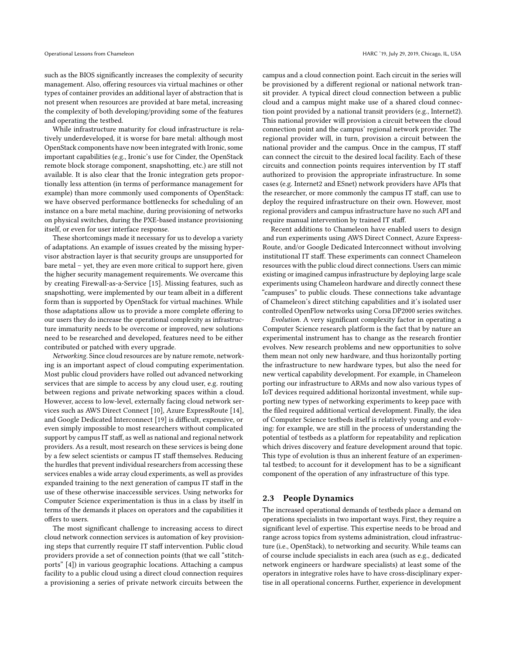such as the BIOS significantly increases the complexity of security management. Also, offering resources via virtual machines or other types of container provides an additional layer of abstraction that is not present when resources are provided at bare metal, increasing the complexity of both developing/providing some of the features and operating the testbed.

While infrastructure maturity for cloud infrastructure is relatively underdeveloped, it is worse for bare metal: although most OpenStack components have now been integrated with Ironic, some important capabilities (e.g., Ironic's use for Cinder, the OpenStack remote block storage component, snapshotting, etc.) are still not available. It is also clear that the Ironic integration gets proportionally less attention (in terms of performance management for example) than more commonly used components of OpenStack: we have observed performance bottlenecks for scheduling of an instance on a bare metal machine, during provisioning of networks on physical switches, during the PXE-based instance provisioning itself, or even for user interface response.

These shortcomings made it necessary for us to develop a variety of adaptations. An example of issues created by the missing hypervisor abstraction layer is that security groups are unsupported for bare metal – yet, they are even more critical to support here, given the higher security management requirements. We overcame this by creating Firewall-as-a-Service [\[15\]](#page-6-13). Missing features, such as snapshotting, were implemented by our team albeit in a different form than is supported by OpenStack for virtual machines. While those adaptations allow us to provide a more complete offering to our users they do increase the operational complexity as infrastructure immaturity needs to be overcome or improved, new solutions need to be researched and developed, features need to be either contributed or patched with every upgrade.

Networking. Since cloud resources are by nature remote, networking is an important aspect of cloud computing experimentation. Most public cloud providers have rolled out advanced networking services that are simple to access by any cloud user, e.g. routing between regions and private networking spaces within a cloud. However, access to low-level, externally facing cloud network services such as AWS Direct Connect [\[10\]](#page-6-14), Azure ExpressRoute [\[14\]](#page-6-15), and Google Dedicated Interconnect [\[19\]](#page-6-16) is difficult, expensive, or even simply impossible to most researchers without complicated support by campus IT staff, as well as national and regional network providers. As a result, most research on these services is being done by a few select scientists or campus IT staff themselves. Reducing the hurdles that prevent individual researchers from accessing these services enables a wide array cloud experiments, as well as provides expanded training to the next generation of campus IT staff in the use of these otherwise inaccessible services. Using networks for Computer Science experimentation is thus in a class by itself in terms of the demands it places on operators and the capabilities it offers to users.

The most significant challenge to increasing access to direct cloud network connection services is automation of key provisioning steps that currently require IT staff intervention. Public cloud providers provide a set of connection points (that we call "stitchports" [\[4\]](#page-5-1)) in various geographic locations. Attaching a campus facility to a public cloud using a direct cloud connection requires a provisioning a series of private network circuits between the

campus and a cloud connection point. Each circuit in the series will be provisioned by a different regional or national network transit provider. A typical direct cloud connection between a public cloud and a campus might make use of a shared cloud connection point provided by a national transit providers (e.g., Internet2). This national provider will provision a circuit between the cloud connection point and the campus' regional network provider. The regional provider will, in turn, provision a circuit between the national provider and the campus. Once in the campus, IT staff can connect the circuit to the desired local facility. Each of these circuits and connection points requires intervention by IT staff authorized to provision the appropriate infrastructure. In some cases (e.g. Internet2 and ESnet) network providers have APIs that the researcher, or more commonly the campus IT staff, can use to deploy the required infrastructure on their own. However, most regional providers and campus infrastructure have no such API and require manual intervention by trained IT staff.

Recent additions to Chameleon have enabled users to design and run experiments using AWS Direct Connect, Azure Express-Route, and/or Google Dedicated Interconnect without involving institutional IT staff. These experiments can connect Chameleon resources with the public cloud direct connections. Users can mimic existing or imagined campus infrastructure by deploying large scale experiments using Chameleon hardware and directly connect these "campuses" to public clouds. These connections take advantage of Chameleon's direct stitching capabilities and it's isolated user controlled OpenFlow networks using Corsa DP2000 series switches.

Evolution. A very significant complexity factor in operating a Computer Science research platform is the fact that by nature an experimental instrument has to change as the research frontier evolves. New research problems and new opportunities to solve them mean not only new hardware, and thus horizontally porting the infrastructure to new hardware types, but also the need for new vertical capability development. For example, in Chameleon porting our infrastructure to ARMs and now also various types of IoT devices required additional horizontal investment, while supporting new types of networking experiments to keep pace with the filed required additional vertical development. Finally, the idea of Computer Science testbeds itself is relatively young and evolving: for example, we are still in the process of understanding the potential of testbeds as a platform for repeatability and replication which drives discovery and feature development around that topic. This type of evolution is thus an inherent feature of an experimental testbed; to account for it development has to be a significant component of the operation of any infrastructure of this type.

#### 2.3 People Dynamics

The increased operational demands of testbeds place a demand on operations specialists in two important ways. First, they require a significant level of expertise. This expertise needs to be broad and range across topics from systems administration, cloud infrastructure (i.e., OpenStack), to networking and security. While teams can of course include specialists in each area (such as e.g., dedicated network engineers or hardware specialists) at least some of the operators in integrative roles have to have cross-disciplinary expertise in all operational concerns. Further, experience in development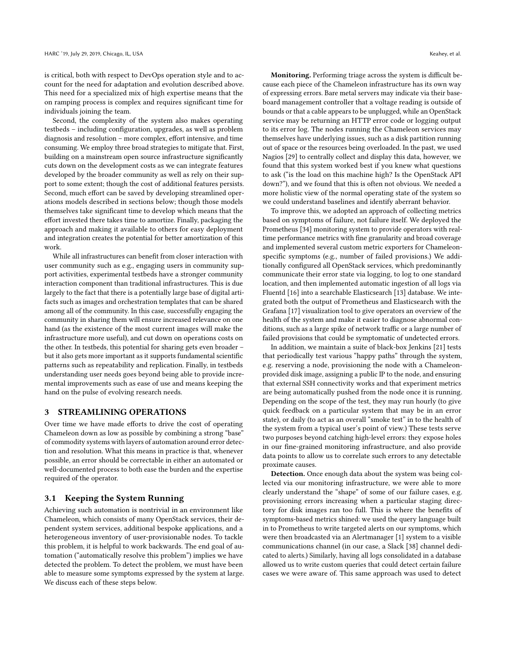is critical, both with respect to DevOps operation style and to account for the need for adaptation and evolution described above. This need for a specialized mix of high expertise means that the on ramping process is complex and requires significant time for individuals joining the team.

Second, the complexity of the system also makes operating testbeds – including configuration, upgrades, as well as problem diagnosis and resolution – more complex, effort intensive, and time consuming. We employ three broad strategies to mitigate that. First, building on a mainstream open source infrastructure significantly cuts down on the development costs as we can integrate features developed by the broader community as well as rely on their support to some extent; though the cost of additional features persists. Second, much effort can be saved by developing streamlined operations models described in sections below; though those models themselves take significant time to develop which means that the effort invested there takes time to amortize. Finally, packaging the approach and making it available to others for easy deployment and integration creates the potential for better amortization of this work.

While all infrastructures can benefit from closer interaction with user community such as e.g., engaging users in community support activities, experimental testbeds have a stronger community interaction component than traditional infrastructures. This is due largely to the fact that there is a potentially large base of digital artifacts such as images and orchestration templates that can be shared among all of the community. In this case, successfully engaging the community in sharing them will ensure increased relevance on one hand (as the existence of the most current images will make the infrastructure more useful), and cut down on operations costs on the other. In testbeds, this potential for sharing gets even broader – but it also gets more important as it supports fundamental scientific patterns such as repeatability and replication. Finally, in testbeds understanding user needs goes beyond being able to provide incremental improvements such as ease of use and means keeping the hand on the pulse of evolving research needs.

#### 3 STREAMLINING OPERATIONS

Over time we have made efforts to drive the cost of operating Chameleon down as low as possible by combining a strong "base" of commodity systems with layers of automation around error detection and resolution. What this means in practice is that, whenever possible, an error should be correctable in either an automated or well-documented process to both ease the burden and the expertise required of the operator.

## 3.1 Keeping the System Running

Achieving such automation is nontrivial in an environment like Chameleon, which consists of many OpenStack services, their dependent system services, additional bespoke applications, and a heterogeneous inventory of user-provisionable nodes. To tackle this problem, it is helpful to work backwards. The end goal of automation ("automatically resolve this problem") implies we have detected the problem. To detect the problem, we must have been able to measure some symptoms expressed by the system at large. We discuss each of these steps below.

Monitoring. Performing triage across the system is difficult because each piece of the Chameleon infrastructure has its own way of expressing errors. Bare metal servers may indicate via their baseboard management controller that a voltage reading is outside of bounds or that a cable appears to be unplugged, while an OpenStack service may be returning an HTTP error code or logging output to its error log. The nodes running the Chameleon services may themselves have underlying issues, such as a disk partition running out of space or the resources being overloaded. In the past, we used Nagios [\[29\]](#page-6-17) to centrally collect and display this data, however, we found that this system worked best if you knew what questions to ask ("is the load on this machine high? Is the OpenStack API down?"), and we found that this is often not obvious. We needed a more holistic view of the normal operating state of the system so we could understand baselines and identify aberrant behavior.

To improve this, we adopted an approach of collecting metrics based on symptoms of failure, not failure itself. We deployed the Prometheus [\[34\]](#page-6-18) monitoring system to provide operators with realtime performance metrics with fine granularity and broad coverage and implemented several custom metric exporters for Chameleonspecific symptoms (e.g., number of failed provisions.) We additionally configured all OpenStack services, which predominantly communicate their error state via logging, to log to one standard location, and then implemented automatic ingestion of all logs via Fluentd [\[16\]](#page-6-19) into a searchable Elasticsearch [\[13\]](#page-6-20) database. We integrated both the output of Prometheus and Elasticsearch with the Grafana [\[17\]](#page-6-21) visualization tool to give operators an overview of the health of the system and make it easier to diagnose abnormal conditions, such as a large spike of network traffic or a large number of failed provisions that could be symptomatic of undetected errors.

In addition, we maintain a suite of black-box Jenkins [\[21\]](#page-6-22) tests that periodically test various "happy paths" through the system, e.g. reserving a node, provisioning the node with a Chameleonprovided disk image, assigning a public IP to the node, and ensuring that external SSH connectivity works and that experiment metrics are being automatically pushed from the node once it is running. Depending on the scope of the test, they may run hourly (to give quick feedback on a particular system that may be in an error state), or daily (to act as an overall "smoke test" in to the health of the system from a typical user's point of view.) These tests serve two purposes beyond catching high-level errors: they expose holes in our fine-grained monitoring infrastructure, and also provide data points to allow us to correlate such errors to any detectable proximate causes.

Detection. Once enough data about the system was being collected via our monitoring infrastructure, we were able to more clearly understand the "shape" of some of our failure cases, e.g. provisioning errors increasing when a particular staging directory for disk images ran too full. This is where the benefits of symptoms-based metrics shined: we used the query language built in to Prometheus to write targeted alerts on our symptoms, which were then broadcasted via an Alertmanager [\[1\]](#page-5-2) system to a visible communications channel (in our case, a Slack [\[38\]](#page-6-23) channel dedicated to alerts.) Similarly, having all logs consolidated in a database allowed us to write custom queries that could detect certain failure cases we were aware of. This same approach was used to detect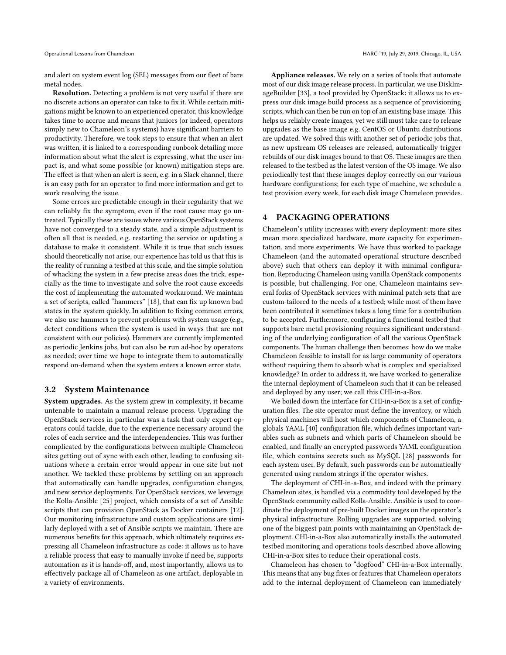and alert on system event log (SEL) messages from our fleet of bare metal nodes.

Resolution. Detecting a problem is not very useful if there are no discrete actions an operator can take to fix it. While certain mitigations might be known to an experienced operator, this knowledge takes time to accrue and means that juniors (or indeed, operators simply new to Chameleon's systems) have significant barriers to productivity. Therefore, we took steps to ensure that when an alert was written, it is linked to a corresponding runbook detailing more information about what the alert is expressing, what the user impact is, and what some possible (or known) mitigation steps are. The effect is that when an alert is seen, e.g. in a Slack channel, there is an easy path for an operator to find more information and get to work resolving the issue.

Some errors are predictable enough in their regularity that we can reliably fix the symptom, even if the root cause may go untreated. Typically these are issues where various OpenStack systems have not converged to a steady state, and a simple adjustment is often all that is needed, e.g. restarting the service or updating a database to make it consistent. While it is true that such issues should theoretically not arise, our experience has told us that this is the reality of running a testbed at this scale, and the simple solution of whacking the system in a few precise areas does the trick, especially as the time to investigate and solve the root cause exceeds the cost of implementing the automated workaround. We maintain a set of scripts, called "hammers" [\[18\]](#page-6-24), that can fix up known bad states in the system quickly. In addition to fixing common errors, we also use hammers to prevent problems with system usage (e.g., detect conditions when the system is used in ways that are not consistent with our policies). Hammers are currently implemented as periodic Jenkins jobs, but can also be run ad-hoc by operators as needed; over time we hope to integrate them to automatically respond on-demand when the system enters a known error state.

#### 3.2 System Maintenance

System upgrades. As the system grew in complexity, it became untenable to maintain a manual release process. Upgrading the OpenStack services in particular was a task that only expert operators could tackle, due to the experience necessary around the roles of each service and the interdependencies. This was further complicated by the configurations between multiple Chameleon sites getting out of sync with each other, leading to confusing situations where a certain error would appear in one site but not another. We tackled these problems by settling on an approach that automatically can handle upgrades, configuration changes, and new service deployments. For OpenStack services, we leverage the Kolla-Ansible [\[25\]](#page-6-25) project, which consists of a set of Ansible scripts that can provision OpenStack as Docker containers [\[12\]](#page-6-26). Our monitoring infrastructure and custom applications are similarly deployed with a set of Ansible scripts we maintain. There are numerous benefits for this approach, which ultimately requires expressing all Chameleon infrastructure as code: it allows us to have a reliable process that easy to manually invoke if need be, supports automation as it is hands-off, and, most importantly, allows us to effectively package all of Chameleon as one artifact, deployable in a variety of environments.

Appliance releases. We rely on a series of tools that automate most of our disk image release process. In particular, we use DiskImageBuilder [\[33\]](#page-6-27), a tool provided by OpenStack: it allows us to express our disk image build process as a sequence of provisioning scripts, which can then be run on top of an existing base image. This helps us reliably create images, yet we still must take care to release upgrades as the base image e.g. CentOS or Ubuntu distributions are updated. We solved this with another set of periodic jobs that, as new upstream OS releases are released, automatically trigger rebuilds of our disk images bound to that OS. These images are then released to the testbed as the latest version of the OS image. We also periodically test that these images deploy correctly on our various hardware configurations; for each type of machine, we schedule a test provision every week, for each disk image Chameleon provides.

## 4 PACKAGING OPERATIONS

Chameleon's utility increases with every deployment: more sites mean more specialized hardware, more capacity for experimentation, and more experiments. We have thus worked to package Chameleon (and the automated operational structure described above) such that others can deploy it with minimal configuration. Reproducing Chameleon using vanilla OpenStack components is possible, but challenging. For one, Chameleon maintains several forks of OpenStack services with minimal patch sets that are custom-tailored to the needs of a testbed; while most of them have been contributed it sometimes takes a long time for a contribution to be accepted. Furthermore, configuring a functional testbed that supports bare metal provisioning requires significant understanding of the underlying configuration of all the various OpenStack components. The human challenge then becomes: how do we make Chameleon feasible to install for as large community of operators without requiring them to absorb what is complex and specialized knowledge? In order to address it, we have worked to generalize the internal deployment of Chameleon such that it can be released and deployed by any user; we call this CHI-in-a-Box.

We boiled down the interface for CHI-in-a-Box is a set of configuration files. The site operator must define the inventory, or which physical machines will host which components of Chameleon, a globals YAML [\[40\]](#page-6-28) configuration file, which defines important variables such as subnets and which parts of Chameleon should be enabled, and finally an encrypted passwords YAML configuration file, which contains secrets such as MySQL [\[28\]](#page-6-29) passwords for each system user. By default, such passwords can be automatically generated using random strings if the operator wishes.

The deployment of CHI-in-a-Box, and indeed with the primary Chameleon sites, is handled via a commodity tool developed by the OpenStack community called Kolla-Ansible. Ansible is used to coordinate the deployment of pre-built Docker images on the operator's physical infrastructure. Rolling upgrades are supported, solving one of the biggest pain points with maintaining an OpenStack deployment. CHI-in-a-Box also automatically installs the automated testbed monitoring and operations tools described above allowing CHI-in-a-Box sites to reduce their operational costs.

Chameleon has chosen to "dogfood" CHI-in-a-Box internally. This means that any bug fixes or features that Chameleon operators add to the internal deployment of Chameleon can immediately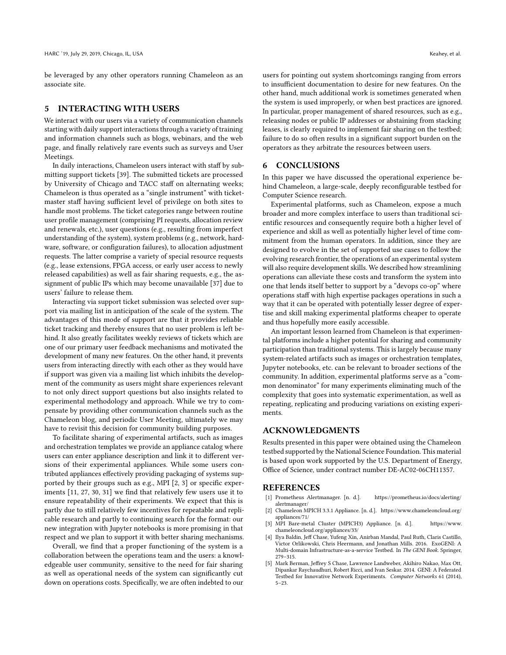be leveraged by any other operators running Chameleon as an associate site.

#### 5 INTERACTING WITH USERS

We interact with our users via a variety of communication channels starting with daily support interactions through a variety of training and information channels such as blogs, webinars, and the web page, and finally relatively rare events such as surveys and User Meetings.

In daily interactions, Chameleon users interact with staff by submitting support tickets [\[39\]](#page-6-30). The submitted tickets are processed by University of Chicago and TACC staff on alternating weeks; Chameleon is thus operated as a "single instrument" with ticketmaster staff having sufficient level of privilege on both sites to handle most problems. The ticket categories range between routine user profile management (comprising PI requests, allocation review and renewals, etc.), user questions (e.g., resulting from imperfect understanding of the system), system problems (e.g., network, hardware, software, or configuration failures), to allocation adjustment requests. The latter comprise a variety of special resource requests (e.g., lease extensions, FPGA access, or early user access to newly released capabilities) as well as fair sharing requests, e.g., the assignment of public IPs which may become unavailable [\[37\]](#page-6-31) due to users' failure to release them.

Interacting via support ticket submission was selected over support via mailing list in anticipation of the scale of the system. The advantages of this mode of support are that it provides reliable ticket tracking and thereby ensures that no user problem is left behind. It also greatly facilitates weekly reviews of tickets which are one of our primary user feedback mechanisms and motivated the development of many new features. On the other hand, it prevents users from interacting directly with each other as they would have if support was given via a mailing list which inhibits the development of the community as users might share experiences relevant to not only direct support questions but also insights related to experimental methodology and approach. While we try to compensate by providing other communication channels such as the Chameleon blog, and periodic User Meeting, ultimately we may have to revisit this decision for community building purposes.

To facilitate sharing of experimental artifacts, such as images and orchestration templates we provide an appliance catalog where users can enter appliance description and link it to different versions of their experimental appliances. While some users contributed appliances effectively providing packaging of systems supported by their groups such as e.g., MPI [\[2,](#page-5-3) [3\]](#page-5-4) or specific experiments [\[11,](#page-6-32) [27,](#page-6-33) [30,](#page-6-34) [31\]](#page-6-35) we find that relatively few users use it to ensure repeatability of their experiments. We expect that this is partly due to still relatively few incentives for repeatable and replicable research and partly to continuing search for the format: our new integration with Jupyter notebooks is more promising in that respect and we plan to support it with better sharing mechanisms.

Overall, we find that a proper functioning of the system is a collaboration between the operations team and the users: a knowledgeable user community, sensitive to the need for fair sharing as well as operational needs of the system can significantly cut down on operations costs. Specifically, we are often indebted to our

users for pointing out system shortcomings ranging from errors to insufficient documentation to desire for new features. On the other hand, much additional work is sometimes generated when the system is used improperly, or when best practices are ignored. In particular, proper management of shared resources, such as e.g., releasing nodes or public IP addresses or abstaining from stacking leases, is clearly required to implement fair sharing on the testbed; failure to do so often results in a significant support burden on the operators as they arbitrate the resources between users.

#### 6 CONCLUSIONS

In this paper we have discussed the operational experience behind Chameleon, a large-scale, deeply reconfigurable testbed for Computer Science research.

Experimental platforms, such as Chameleon, expose a much broader and more complex interface to users than traditional scientific resources and consequently require both a higher level of experience and skill as well as potentially higher level of time commitment from the human operators. In addition, since they are designed to evolve in the set of supported use cases to follow the evolving research frontier, the operations of an experimental system will also require development skills. We described how streamlining operations can alleviate these costs and transform the system into one that lends itself better to support by a "devops co-op" where operations staff with high expertise packages operations in such a way that it can be operated with potentially lesser degree of expertise and skill making experimental platforms cheaper to operate and thus hopefully more easily accessible.

An important lesson learned from Chameleon is that experimental platforms include a higher potential for sharing and community participation than traditional systems. This is largely because many system-related artifacts such as images or orchestration templates, Jupyter notebooks, etc. can be relevant to broader sections of the community. In addition, experimental platforms serve as a "common denominator" for many experiments eliminating much of the complexity that goes into systematic experimentation, as well as repeating, replicating and producing variations on existing experiments.

#### ACKNOWLEDGMENTS

Results presented in this paper were obtained using the Chameleon testbed supported by the National Science Foundation. This material is based upon work supported by the U.S. Department of Energy, Office of Science, under contract number DE-AC02-06CH11357.

## REFERENCES

- <span id="page-5-2"></span>[1] Prometheus Alertmanager. [n. d.]. [https://prometheus.io/docs/alerting/](https://prometheus.io/docs/alerting/alertmanager/) [alertmanager/](https://prometheus.io/docs/alerting/alertmanager/)
- <span id="page-5-3"></span>[2] Chameleon MPICH 3.3.1 Appliance. [n. d.]. [https://www.chameleoncloud.org/](https://www.chameleoncloud.org/appliances/71/) [appliances/71/](https://www.chameleoncloud.org/appliances/71/)
- <span id="page-5-4"></span>[3] MPI Bare-metal Cluster (MPICH3) Appliance. [n. d.]. [https://www.](https://www.chameleoncloud.org/appliances/33/) [chameleoncloud.org/appliances/33/](https://www.chameleoncloud.org/appliances/33/)
- <span id="page-5-1"></span>[4] Ilya Baldin, Jeff Chase, Yufeng Xin, Anirban Mandal, Paul Ruth, Claris Castillo, Victor Orlikowski, Chris Heermann, and Jonathan Mills. 2016. ExoGENI: A Multi-domain Infrastructure-as-a-service Testbed. In The GENI Book. Springer, 279–315.
- <span id="page-5-0"></span>Mark Berman, Jeffrey S Chase, Lawrence Landweber, Akihiro Nakao, Max Ott, Dipankar Raychaudhuri, Robert Ricci, and Ivan Seskar. 2014. GENI: A Federated Testbed for Innovative Network Experiments. Computer Networks 61 (2014), 5–23.